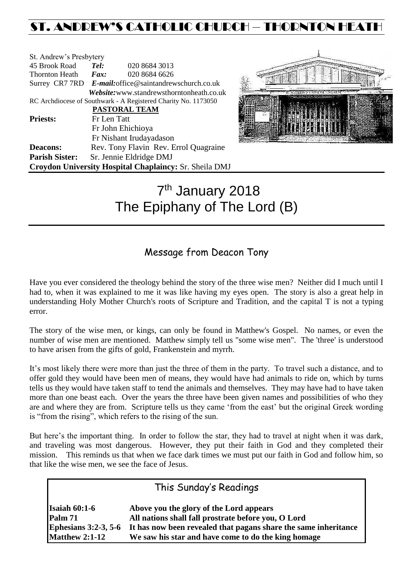# ST. ANDREW'S CATHOLIC CHURCH – THORNTON HEAT

| St. Andrew's Presbytery                                        |                                                        |                                                        |  |  |
|----------------------------------------------------------------|--------------------------------------------------------|--------------------------------------------------------|--|--|
| 45 Brook Road                                                  | Tel:                                                   | 020 8684 3013                                          |  |  |
| Thornton Heath                                                 | $\boldsymbol{F}$ <i>ax</i> :                           | 020 8684 6626                                          |  |  |
|                                                                | Surrey CR7 7RD E-mail: office@saintandrewschurch.co.uk |                                                        |  |  |
|                                                                |                                                        | Website: www.standrewsthorntonheath.co.uk              |  |  |
| RC Archdiocese of Southwark - A Registered Charity No. 1173050 |                                                        |                                                        |  |  |
|                                                                |                                                        | <b>PASTORAL TEAM</b>                                   |  |  |
| <b>Priests:</b>                                                | Fr Len Tatt                                            |                                                        |  |  |
|                                                                | Fr John Ehichioya                                      |                                                        |  |  |
|                                                                |                                                        | Fr Nishant Irudayadason                                |  |  |
| <b>Deacons:</b>                                                |                                                        | Rev. Tony Flavin Rev. Errol Quagraine                  |  |  |
| <b>Parish Sister:</b>                                          | Sr. Jennie Eldridge DMJ                                |                                                        |  |  |
|                                                                |                                                        | Croydon University Hospital Chaplaincy: Sr. Sheila DMJ |  |  |



# 7<sup>th</sup> January 2018 The Epiphany of The Lord (B)

# Message from Deacon Tony

Have you ever considered the theology behind the story of the three wise men? Neither did I much until I had to, when it was explained to me it was like having my eyes open. The story is also a great help in understanding Holy Mother Church's roots of Scripture and Tradition, and the capital T is not a typing error.

The story of the wise men, or kings, can only be found in Matthew's Gospel. No names, or even the number of wise men are mentioned. Matthew simply tell us "some wise men". The 'three' is understood to have arisen from the gifts of gold, Frankenstein and myrrh.

It's most likely there were more than just the three of them in the party. To travel such a distance, and to offer gold they would have been men of means, they would have had animals to ride on, which by turns tells us they would have taken staff to tend the animals and themselves. They may have had to have taken more than one beast each. Over the years the three have been given names and possibilities of who they are and where they are from. Scripture tells us they came 'from the east' but the original Greek wording is "from the rising", which refers to the rising of the sun.

But here's the important thing. In order to follow the star, they had to travel at night when it was dark, and traveling was most dangerous. However, they put their faith in God and they completed their mission. This reminds us that when we face dark times we must put our faith in God and follow him, so that like the wise men, we see the face of Jesus.

| This Sunday's Readings |                                                                 |  |  |  |
|------------------------|-----------------------------------------------------------------|--|--|--|
| <b>Isaiah 60:1-6</b>   | Above you the glory of the Lord appears                         |  |  |  |
| Palm 71                | All nations shall fall prostrate before you, O Lord             |  |  |  |
| Ephesians $3:2-3, 5-6$ | It has now been revealed that pagans share the same inheritance |  |  |  |
| <b>Matthew 2:1-12</b>  | We saw his star and have come to do the king homage             |  |  |  |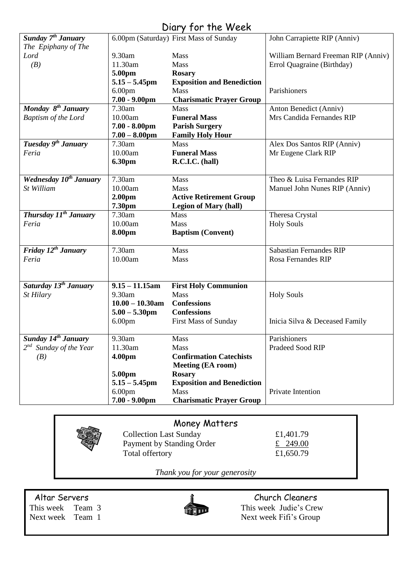## Diary for the Week

| Sunday 7 <sup>th</sup> January<br>The Epiphany of The |                            | 6.00pm (Saturday) First Mass of Sunday | John Carrapiette RIP (Anniv)        |
|-------------------------------------------------------|----------------------------|----------------------------------------|-------------------------------------|
| Lord                                                  | 9.30am                     | Mass                                   | William Bernard Freeman RIP (Anniv) |
| (B)                                                   | 11.30am                    | Mass                                   | Errol Quagraine (Birthday)          |
|                                                       | 5.00pm                     | <b>Rosary</b>                          |                                     |
|                                                       | $5.15 - 5.45$ pm           | <b>Exposition and Benediction</b>      |                                     |
|                                                       | 6.00 <sub>pm</sub>         | Mass                                   | Parishioners                        |
|                                                       | $7.00 - 9.00$ pm           | <b>Charismatic Prayer Group</b>        |                                     |
| Monday 8 <sup>th</sup> January                        | 7.30am                     | <b>Mass</b>                            | Anton Benedict (Anniv)              |
|                                                       | 10.00am                    | <b>Funeral Mass</b>                    | Mrs Candida Fernandes RIP           |
| Baptism of the Lord                                   | $7.00 - 8.00$ pm           |                                        |                                     |
|                                                       |                            | <b>Parish Surgery</b>                  |                                     |
| Tuesday 9 <sup>th</sup> January                       | $7.00 - 8.00$ pm<br>7.30am | <b>Family Holy Hour</b><br><b>Mass</b> |                                     |
|                                                       |                            |                                        | Alex Dos Santos RIP (Anniv)         |
| Feria                                                 | 10.00am                    | <b>Funeral Mass</b>                    | Mr Eugene Clark RIP                 |
|                                                       | 6.30pm                     | R.C.I.C. (hall)                        |                                     |
| Wednesday 10 <sup>th</sup> January                    | 7.30am                     | Mass                                   | Theo & Luisa Fernandes RIP          |
| St William                                            | 10.00am                    | Mass                                   | Manuel John Nunes RIP (Anniv)       |
|                                                       | 2.00 <sub>pm</sub>         | <b>Active Retirement Group</b>         |                                     |
|                                                       | 7.30pm                     | <b>Legion of Mary (hall)</b>           |                                     |
| Thursday 11 <sup>th</sup> January                     | 7.30am                     | Mass                                   | Theresa Crystal                     |
| Feria                                                 | 10.00am                    | Mass                                   | <b>Holy Souls</b>                   |
|                                                       | 8.00pm                     | <b>Baptism (Convent)</b>               |                                     |
|                                                       |                            |                                        |                                     |
| Friday $12^{th}$ January                              | 7.30am                     | Mass                                   | <b>Sabastian Fernandes RIP</b>      |
| Feria                                                 | 10.00am                    | Mass                                   | Rosa Fernandes RIP                  |
|                                                       |                            |                                        |                                     |
|                                                       |                            |                                        |                                     |
| Saturday 13 <sup>th</sup> January                     | $9.15 - 11.15$ am          | <b>First Holy Communion</b>            |                                     |
| St Hilary                                             | 9.30am                     | Mass                                   | <b>Holy Souls</b>                   |
|                                                       | $10.00 - 10.30$ am         | <b>Confessions</b>                     |                                     |
|                                                       | $5.00 - 5.30$ pm           | <b>Confessions</b>                     |                                     |
|                                                       | 6.00 <sub>pm</sub>         | <b>First Mass of Sunday</b>            | Inicia Silva & Deceased Family      |
| Sunday 14 <sup>th</sup> January                       | 9.30am                     | Mass                                   | Parishioners                        |
| $2^{nd}$ Sunday of the Year                           | 11.30am                    | <b>Mass</b>                            | Pradeed Sood RIP                    |
| (B)                                                   | 4.00pm                     | <b>Confirmation Catechists</b>         |                                     |
|                                                       |                            | <b>Meeting (EA room)</b>               |                                     |
|                                                       | 5.00pm                     | <b>Rosary</b>                          |                                     |
|                                                       | $5.15 - 5.45$ pm           | <b>Exposition and Benediction</b>      |                                     |
|                                                       | 6.00 <sub>pm</sub>         | <b>Mass</b>                            | Private Intention                   |
|                                                       | $7.00 - 9.00$ pm           | <b>Charismatic Prayer Group</b>        |                                     |

## Money Matters



*Thank you for your generosity*



Altar Servers and the church Cleaners and the Church Cleaners This week Team 3 This week Judie's Crew Next week Team 1 Next week Fifi's Group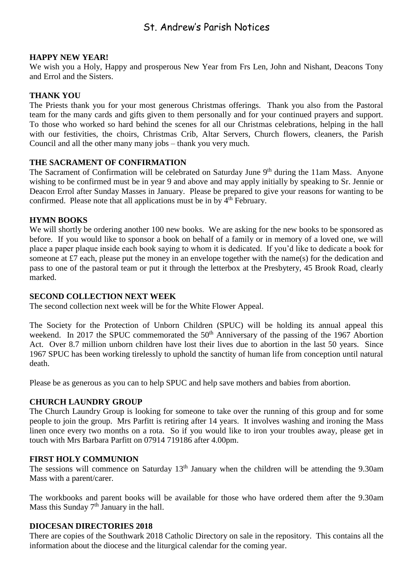## St. Andrew's Parish Notices

#### **HAPPY NEW YEAR!**

We wish you a Holy, Happy and prosperous New Year from Frs Len, John and Nishant, Deacons Tony and Errol and the Sisters.

#### **THANK YOU**

The Priests thank you for your most generous Christmas offerings. Thank you also from the Pastoral team for the many cards and gifts given to them personally and for your continued prayers and support. To those who worked so hard behind the scenes for all our Christmas celebrations, helping in the hall with our festivities, the choirs, Christmas Crib, Altar Servers, Church flowers, cleaners, the Parish Council and all the other many many jobs – thank you very much.

#### **THE SACRAMENT OF CONFIRMATION**

The Sacrament of Confirmation will be celebrated on Saturday June  $9<sup>th</sup>$  during the 11am Mass. Anyone wishing to be confirmed must be in year 9 and above and may apply initially by speaking to Sr. Jennie or Deacon Errol after Sunday Masses in January. Please be prepared to give your reasons for wanting to be confirmed. Please note that all applications must be in by  $4<sup>th</sup>$  February.

#### **HYMN BOOKS**

We will shortly be ordering another 100 new books. We are asking for the new books to be sponsored as before. If you would like to sponsor a book on behalf of a family or in memory of a loved one, we will place a paper plaque inside each book saying to whom it is dedicated. If you'd like to dedicate a book for someone at £7 each, please put the money in an envelope together with the name(s) for the dedication and pass to one of the pastoral team or put it through the letterbox at the Presbytery, 45 Brook Road, clearly marked.

#### **SECOND COLLECTION NEXT WEEK**

The second collection next week will be for the White Flower Appeal.

The Society for the Protection of Unborn Children (SPUC) will be holding its annual appeal this weekend. In 2017 the SPUC commemorated the 50<sup>th</sup> Anniversary of the passing of the 1967 Abortion Act. Over 8.7 million unborn children have lost their lives due to abortion in the last 50 years. Since 1967 SPUC has been working tirelessly to uphold the sanctity of human life from conception until natural death.

Please be as generous as you can to help SPUC and help save mothers and babies from abortion.

#### **CHURCH LAUNDRY GROUP**

The Church Laundry Group is looking for someone to take over the running of this group and for some people to join the group. Mrs Parfitt is retiring after 14 years. It involves washing and ironing the Mass linen once every two months on a rota. So if you would like to iron your troubles away, please get in touch with Mrs Barbara Parfitt on 07914 719186 after 4.00pm.

#### **FIRST HOLY COMMUNION**

The sessions will commence on Saturday  $13<sup>th</sup>$  January when the children will be attending the 9.30am Mass with a parent/carer.

The workbooks and parent books will be available for those who have ordered them after the 9.30am Mass this Sunday 7<sup>th</sup> January in the hall.

#### **DIOCESAN DIRECTORIES 2018**

There are copies of the Southwark 2018 Catholic Directory on sale in the repository. This contains all the information about the diocese and the liturgical calendar for the coming year.